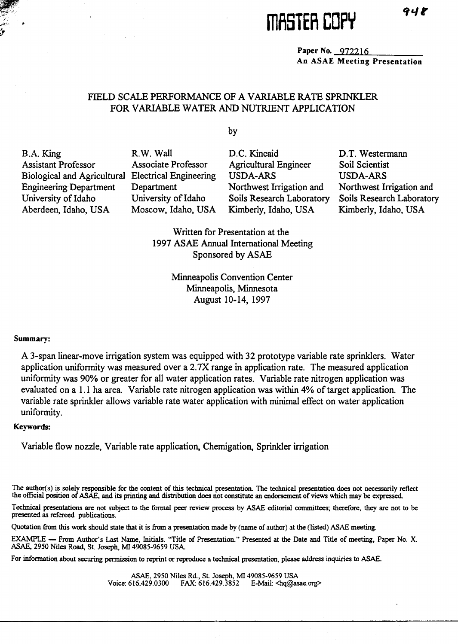# **illfiSTER COPY**

**Paper No.** 972216 **An ASAE Meeting Presentation**

## FIELD SCALE PERFORMANCE OF A VARIABLE RATE SPRINKLER FOR VARIABLE WATER AND NUTRIENT APPLICATION

by

B.A. King R.W. Wall D.C. Kincaid D.T. Westermann

Assistant Professor Associate Professor Agricultural Engineer Soil Scientist Biological and Agricultural Electrical Engineering USDA-ARS USDA-ARS Engineering Department Department Northwest Irrigation and Northwest Irrigation and University of Idaho University of Idaho Soils Research Laboratory Soils Research Laboratory Aberdeen, Idaho, USA Moscow, Idaho, USA Kimberly, Idaho, USA Kimberly, Idaho, USA

Written for Presentation at the 1997 ASAE Annual International Meeting Sponsored by ASAE

> Minneapolis Convention Center Minneapolis, Minnesota August 10-14, 1997

#### **Summary:**

A 3-span linear-move irrigation system was equipped with 32 prototype variable rate sprinklers. Water application uniformity was measured over a 2.7X range in application rate. The measured application uniformity was 90% or greater for all water application rates. Variable rate nitrogen application was evaluated on a 1.1 ha area. Variable rate nitrogen application was within 4% of target application. The variable rate sprinkler allows variable rate water application with minimal effect on water application uniformity.

## **Keywords:**

Variable flow nozzle, Variable rate application, Chemigation, Sprinkler irrigation

The author(s) is solely responsible for the content of this technical presentation. The technical presentation does not necessarily reflect the official position of ASAE, and its printing and distribution does not constitute an endorsement of views which may be expressed.

Technical presentations are not subject to the formal peer review process by ASAE editorial committees; therefore, they are not to be presented as refereed publications.

Quotation from *this* work should state that it is from a presentation made by (name of author) at the (listed) ASAE meeting.

EXAMPLE — From Author's Last Name, Initials. "Title of Presentation." Presented at the Date and Title of meeting, Paper No. X. ASAE, 2950 Niles Road, St Joseph, MI 49085-9659 USA.

For information about securing permission to reprint or reproduce a technical presentation, please address inquiries to ASAE.

ASAE, 2950 Niles Rd., St. Joseph, MI 49085-9659 USA Voice: 616.429.0300 FAX: 616.429.3852 E-Mail: <hq@asae.org>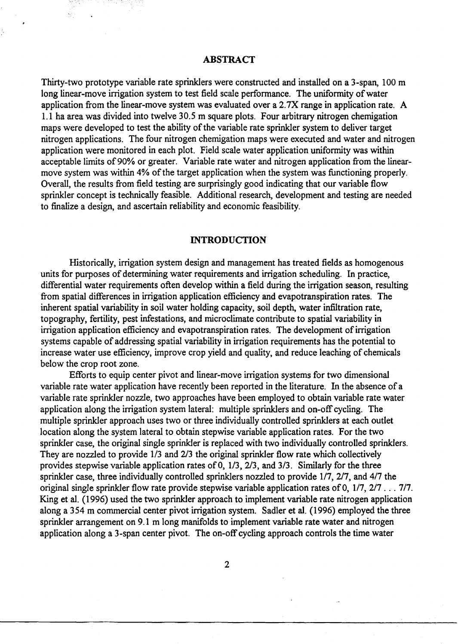## **ABSTRACT**

Thirty-two prototype variable rate sprinklers were constructed and installed on a 3-span, 100 m long linear-move irrigation system to test field scale performance. The uniformity of water application from the linear-move system was evaluated over a 2.7X range in application rate. A 1.1 ha area was divided into twelve 30.5 m square plots. Four arbitrary nitrogen chemigation maps were developed to test the ability of the variable rate sprinkler system to deliver target nitrogen applications. The four nitrogen chemigation maps were executed and water and nitrogen application were monitored in each plot. Field scale water application uniformity was within acceptable limits of 90% or greater. Variable rate water and nitrogen application from the linearmove system was within 4% of the target application when the system was functioning properly. Overall, the results from field testing are surprisingly good indicating that our variable flow sprinkler concept is technically feasible. Additional research, development and testing are needed to finalize a design, and ascertain reliability and economic feasibility.

## **INTRODUCTION**

Historically, irrigation system design and management has treated fields as homogenous units for purposes of determining water requirements and irrigation scheduling. In practice, differential water requirements often develop within a field during the irrigation season, resulting from spatial differences in irrigation application efficiency and evapotranspiration rates. The inherent spatial variability in soil water holding capacity, soil depth, water infiltration rate, topography, fertility, pest infestations, and microclimate contribute to spatial variability in irrigation application efficiency and evapotranspiration rates. The development of irrigation systems capable of addressing spatial variability in irrigation requirements has the potential to increase water use efficiency, improve crop yield and quality, and reduce leaching of chemicals below the crop root zone.

Efforts to equip center pivot and linear-move irrigation systems for two dimensional variable rate water application have recently been reported in the literature. In the absence of a variable rate sprinkler nozzle, two approaches have been employed to obtain variable rate water application along the irrigation system lateral: multiple sprinklers and on-off cycling. The multiple sprinkler approach uses two or three individually controlled sprinklers at each outlet location along the system lateral to obtain stepwise variable application rates. For the two sprinkler case, the original single sprinkler is replaced with two individually controlled sprinklers. They are nozzled to provide 1/3 and 2/3 the original sprinkler flow rate which collectively provides stepwise variable application rates of 0, 1/3, 2/3, and 3/3. Similarly for the three sprinkler case, three individually controlled sprinklers nozzled to provide 1/7, 2/7, and 4/7 the original single sprinkler flow rate provide stepwise variable application rates of 0, 1/7, 2/7 . . . 7/7. King et al. (1996) used the two sprinkler approach to implement variable rate nitrogen application along a 354 m commercial center pivot irrigation system. Sadler et al. (1996) employed the three sprinkler arrangement on 9.1 m long manifolds to implement variable rate water and nitrogen application along a 3-span center pivot. The on-off cycling approach controls the time water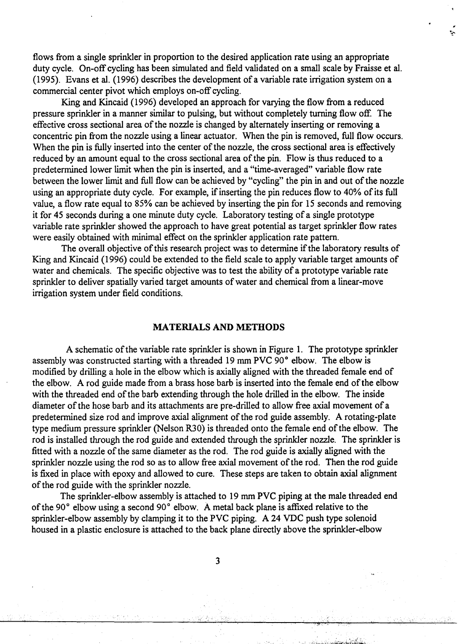flows from a single sprinkler in proportion to the desired application rate using an appropriate duty cycle. On-off cycling has been simulated and field validated on a small scale by Fraisse et al. (1995). Evans et al. (1996) describes the development of a variable rate irrigation system on a commercial center pivot which employs on-off cycling.

÷,

King and Kincaid (1996) developed an approach for varying the flow from a reduced pressure sprinkler in a manner similar to pulsing, but without completely turning flow off. The effective cross sectional area of the nozzle is changed by alternately inserting or removing a concentric pin from the nozzle using a linear actuator. When the pin is removed, full flow occurs. When the pin is fully inserted into the center of the nozzle, the cross sectional area is effectively reduced by an amount equal to the cross sectional area of the pin. Flow is thus reduced to a predetermined lower limit when the pin is inserted, and a "time-averaged" variable flow rate between the lower limit and full flow can be achieved by "cycling" the pin in and out of the nozzle using an appropriate duty cycle. For example, if inserting the pin reduces flow to 40% of its full value, a flow rate equal to 85% can be achieved by inserting the pin for 15 seconds and removing it for 45 seconds during a one minute duty cycle. Laboratory testing of a single prototype variable rate sprinkler showed the approach to have great potential as target sprinkler flow rates were easily obtained with minimal effect on the sprinkler application rate pattern.

The overall objective of this research project was to determine if the laboratory results of King and Kincaid (1996) could be extended to the field scale to apply variable target amounts of water and chemicals. The specific objective was to test the ability of a prototype variable rate sprinkler to deliver spatially varied target amounts of water and chemical from a linear-move irrigation system under field conditions.

## **MATERIALS AND METHODS**

A schematic of the variable rate sprinkler is shown in Figure 1. The prototype sprinkler assembly was constructed starting with a threaded 19 mm PVC 90° elbow. The elbow is modified by drilling a hole in the elbow which is axially aligned with the threaded female end of the elbow. A rod guide made from a brass hose barb is inserted into the female end of the elbow with the threaded end of the barb extending through the hole drilled in the elbow. The inside diameter of the hose barb and its attachments are pre-drilled to allow free axial movement of a predetermined size rod and improve axial alignment of the rod guide assembly. A rotating-plate type medium pressure sprinkler (Nelson R30) is threaded onto the female end of the elbow. The rod is installed through the rod guide and extended through the sprinkler nozzle. The sprinkler is fitted with a nozzle of the same diameter as the rod. The rod guide is axially aligned with the sprinkler nozzle using the rod so as to allow free axial movement of the rod. Then the rod guide is fixed in place with epoxy and allowed to cure. These steps are taken to obtain axial alignment of the rod guide with the sprinkler nozzle.

The sprinkler-elbow assembly is attached to 19 mm PVC piping at the male threaded end of the 90° elbow using a second 90° elbow. A metal back plane is affixed relative to the sprinkler-elbow assembly by clamping it to the PVC piping. A 24 VDC push type solenoid housed in a plastic enclosure is attached to the back plane directly above the sprinkler-elbow

3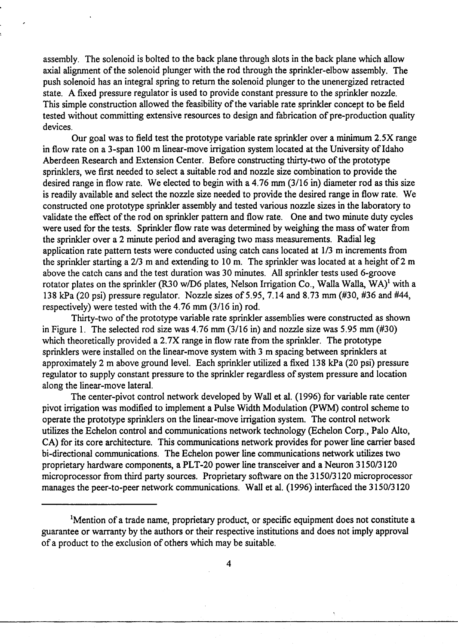assembly. The solenoid is bolted to the back plane through slots in the back plane which allow axial alignment of the solenoid plunger with the rod through the sprinkler-elbow assembly. The push solenoid has an integral spring to return the solenoid plunger to the unenergized retracted state. A fixed pressure regulator is used to provide constant pressure to the sprinkler nozzle. This simple construction allowed the feasibility of the variable rate sprinkler concept to be field tested without committing extensive resources to design and fabrication of pre-production quality devices.

Our goal was to field test the prototype variable rate sprinkler over a minimum 2.5X range in flow rate on a 3-span 100 m linear-move irrigation system located at the University of Idaho Aberdeen Research and Extension Center. Before constructing thirty-two of the prototype sprinklers, we first needed to select a suitable rod and nozzle size combination to provide the desired range in flow rate. We elected to begin with a 4.76 mm (3/16 in) diameter rod as this size is readily available and select the nozzle size needed to provide the desired range in flow rate. We constructed one prototype sprinkler assembly and tested various nozzle sizes in the laboratory to validate the effect of the rod on sprinkler pattern and flow rate. One and two minute duty cycles were used for the tests. Sprinkler flow rate was determined by weighing the mass of water from the sprinkler over a 2 minute period and averaging two mass measurements. Radial leg application rate pattern tests were conducted using catch cans located at 1/3 m increments from the sprinkler starting a 2/3 m and extending to 10 m. The sprinkler was located at a height of 2 m above the catch cans and the test duration was 30 minutes. All sprinkler tests used 6-groove rotator plates on the sprinkler (R30 w/D6 plates, Nelson Irrigation Co., Walla Walla, WA)' with a 138 kPa (20 psi) pressure regulator. Nozzle sizes of 5.95, 7.14 and 8.73 mm (#30, #36 and #44, respectively) were tested with the 4.76 mm (3/16 in) rod.

Thirty-two of the prototype variable rate sprinkler assemblies were constructed as shown in Figure 1. The selected rod size was 4.76 mm (3/16 in) and nozzle size was 5.95 mm (#30) which theoretically provided a 2.7X range in flow rate from the sprinkler. The prototype sprinklers were installed on the linear-move system with 3 m spacing between sprinklers at approximately 2 m above ground level. Each sprinkler utilized a fixed 138 kPa (20 psi) pressure regulator to supply constant pressure to the sprinkler regardless of system pressure and location along the linear-move lateral.

The center-pivot control network developed by Wall et al. (1996) for variable rate center pivot irrigation was modified to implement a Pulse Width Modulation (PWM) control scheme to operate the prototype sprinklers on the linear-move irrigation system. The control network utilizes the Echelon control and communications network technology (Echelon Corp., Palo Alto, CA) for its core architecture. This communications network provides for power line carrier based bi-directional communications. The Echelon power line communications network utilizes two proprietary hardware components, a PLT-20 power line transceiver and a Neuron 3150/3120 microprocessor from third party sources. Proprietary software on the 3150/3120 microprocessor manages the peer-to-peer network communications. Wall et al. (1996) interfaced the 3150/3120

<sup>&#</sup>x27;Mention of a trade name, proprietary product, or specific equipment does not constitute a guarantee or warranty by the authors or their respective institutions and does not imply approval of a product to the exclusion of others which may be suitable.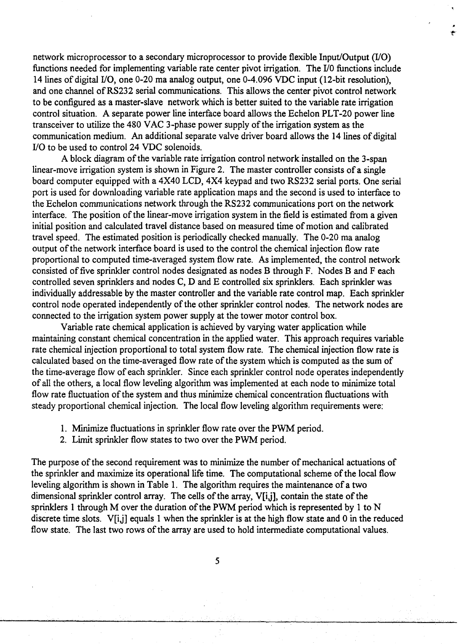network microprocessor to a secondary microprocessor to provide flexible Input/Output (I/O) functions needed for implementing variable rate center pivot irrigation. The I/O functions include 14 lines of digital I/O, one 0-20 ma analog output, one 0-4.096 VDC input (12-bit resolution), and one channel of RS232 serial communications. This allows the center pivot control network to be configured as a master-slave network which is better suited to the variable rate irrigation control situation. A separate power line interface board allows the Echelon PLT-20 power line transceiver to utilize the 480 VAC 3-phase power supply of the irrigation system as the communication medium. An additional separate valve driver board allows the 14 lines of digital I/O to be used to control 24 VDC solenoids.

A block diagram of the variable rate irrigation control network installed on the 3-span linear-move irrigation system is shown in Figure 2. The master controller consists of a single board computer equipped with a 4X40 LCD, 4X4 keypad and two RS232 serial ports. One serial port is used for downloading variable rate application maps and the second is used to interface to the Echelon communications network through the RS232 communications port on the network interface. The position of the linear-move irrigation system in the field is estimated from a given initial position and calculated travel distance based on measured time of motion and calibrated travel speed. The estimated position is periodically checked manually. The 0-20 ma analog output of the network interface board is used to the control the chemical injection flow rate proportional to computed time-averaged system flow rate. As implemented, the control network consisted of five sprinkler control nodes designated as nodes B through F. Nodes B and F each controlled seven sprinklers and nodes C, D and E controlled six sprinklers. Each sprinkler was individually addressable by the master controller and the variable rate control map. Each sprinkler control node operated independently of the other sprinkler control nodes. The network nodes are connected to the irrigation system power supply at the tower motor control box.

Variable rate chemical application is achieved by varying water application while maintaining constant chemical concentration in the applied water. This approach requires variable rate chemical injection proportional to total system flow rate. The chemical injection flow rate is calculated based on the time-averaged flow rate of the system which is computed as the sum of the time-average flow of each sprinkler. Since each sprinkler control node operates independently of all the others, a local flow leveling algorithm was implemented at each node to minimize total flow rate fluctuation of the system and thus minimize chemical concentration fluctuations with steady proportional chemical injection. The local flow leveling algorithm requirements were:

- 1. Minimize fluctuations in sprinkler flow rate over the PWM period.
- 2. Limit sprinkler flow states to two over the PWM period.

The purpose of the second requirement was to minimize the number of mechanical actuations of the sprinkler and maximize its operational life time. The computational scheme of the local flow leveling algorithm is shown in Table 1. The algorithm requires the maintenance of a two dimensional sprinkler control array. The cells of the array, V[i,j], contain the state of the sprinklers 1 through M over the duration of the PWM period which is represented by 1 to N discrete time slots. V[i,j] equals 1 when the sprinkler is at the high flow state and 0 in the reduced flow state. The last two rows of the array are used to hold intermediate computational values.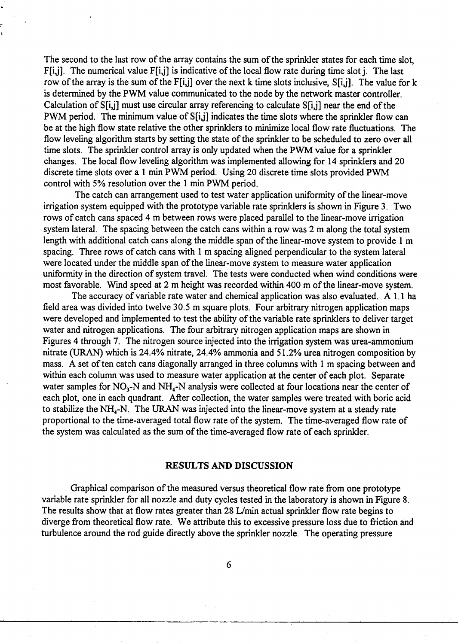The second to the last row of the array contains the sum of the sprinkler states for each time slot, F[i,j]. The numerical value F[i,j] is indicative of the local flow rate during time slot j. The last row of the array is the sum of the  $F[i,j]$  over the next k time slots inclusive,  $S[i,j]$ . The value for k is determined by the PWM value communicated to the node by the network master controller. Calculation of S[i,j] must use circular array referencing to calculate S[i,j] near the end of the PWM period. The minimum value of S[i,j] indicates the time slots where the sprinkler flow can be at the high flow state relative the other sprinklers to minimize local flow rate fluctuations. The flow leveling algorithm starts by setting the state of the sprinkler to be scheduled to zero over all time slots. The sprinkler control array is only updated when the PWM value for a sprinkler changes. The local flow leveling algorithm was implemented allowing for 14 sprinklers and 20 discrete time slots over a 1 min PWM period. Using 20 discrete time slots provided PWM control with 5% resolution over the 1 min PWM period.

The catch can arrangement used to test water application uniformity of the linear-move irrigation system equipped with the prototype variable rate sprinklers is shown in Figure 3. Two rows of catch cans spaced 4 m between rows were placed parallel to the linear-move irrigation system lateral. The spacing between the catch cans within a row was 2 m along the total system length with additional catch cans along the middle span of the linear-move system to provide 1 m spacing. Three rows of catch cans with 1 m spacing aligned perpendicular to the system lateral were located under the middle span of the linear-move system to measure water application uniformity in the direction of system travel. The tests were conducted when wind conditions were most favorable. Wind speed at 2 m height was recorded within 400 m of the linear-move system.

The accuracy of variable rate water and chemical application was also evaluated. A 1.1 ha field area was divided into twelve 30.5 m square plots. Four arbitrary nitrogen application maps were developed and implemented to test the ability of the variable rate sprinklers to deliver target water and nitrogen applications. The four arbitrary nitrogen application maps are shown in Figures 4 through 7. The nitrogen source injected into the irrigation system was urea-ammonium nitrate (URAN) which is 24.4% nitrate, 24.4% ammonia and 51.2% urea nitrogen composition by mass. A set of ten catch cans diagonally arranged in three columns with 1 m spacing between and within each column was used to measure water application at the center of each plot. Separate water samples for  $NO_3$ -N and  $NH_4$ -N analysis were collected at four locations near the center of each plot, one in each quadrant. After collection, the water samples were treated with boric acid to stabilize the NH<sub>4</sub>-N. The URAN was injected into the linear-move system at a steady rate proportional to the time-averaged total flow rate of the system. The time-averaged flow rate of the system was calculated as the sum of the time-averaged flow rate of each sprinkler.

## **RESULTS AND DISCUSSION**

Graphical comparison of the measured versus theoretical flow rate from one prototype variable rate sprinkler for all nozzle and duty cycles tested in the laboratory is shown in Figure 8. The results show that at flow rates greater than 28 L/min actual sprinkler flow rate begins to diverge from theoretical flow rate. We attribute this to excessive pressure loss due to friction and turbulence around the rod guide directly above the sprinkler nozzle. The operating pressure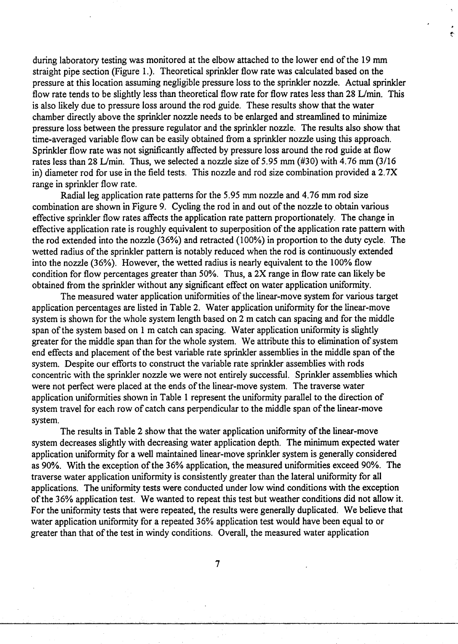during laboratory testing was monitored at the elbow attached to the lower end of the 19 mm straight pipe section (Figure 1.). Theoretical sprinkler flow rate was calculated based on the pressure at this location assuming negligible pressure loss to the sprinkler nozzle. Actual sprinkler flow rate tends to be slightly less than theoretical flow rate for flow rates less than 28 L/min. This is also likely due to pressure loss around the rod guide. These results show that the water chamber directly above the sprinkler nozzle needs to be enlarged and streamlined to minimize pressure loss between the pressure regulator and the sprinkler nozzle. The results also show that time-averaged variable flow can be easily obtained from a sprinkler nozzle using this approach. Sprinkler flow rate was not significantly affected by pressure loss around the rod guide at flow rates less than 28 L/min. Thus, we selected a nozzle size of 5.95 mm (#30) with 4.76 mm (3/16 in) diameter rod for use in the field tests. This nozzle and rod size combination provided a 2.7X range in sprinkler flow rate.

Radial leg application rate patterns for the 5.95 mm nozzle and 4.76 mm rod size combination are shown in Figure 9. Cycling the rod in and out of the nozzle to obtain various effective sprinkler flow rates affects the application rate pattern proportionately. The change in effective application rate is roughly equivalent to superposition of the application rate pattern with the rod extended into the nozzle (36%) and retracted (100%) in proportion to the duty cycle. The wetted radius of the sprinkler pattern is notably reduced when the rod is continuously extended into the nozzle (36%). However, the wetted radius is nearly equivalent to the 100% flow condition for flow percentages greater than 50%. Thus, a 2X range in flow rate can likely be obtained from the sprinkler without any significant effect on water application uniformity.

The measured water application uniformities of the linear-move system for various target application percentages are listed in Table 2. Water application uniformity for the linear-move system is shown for the whole system length based on 2 m catch can spacing and for the middle span of the system based on 1 m catch can spacing. Water application uniformity is slightly greater for the middle span than for the whole system. We attribute this to elimination of system end effects and placement of the best variable rate sprinkler assemblies in the middle span of the system. Despite our efforts to construct the variable rate sprinkler assemblies with rods concentric with the sprinkler nozzle we were not entirely successful. Sprinkler assemblies which were not perfect were placed at the ends of the linear-move system. The traverse water application uniformities shown in Table 1 represent the uniformity parallel to the direction of system travel for each row of catch cans perpendicular to the middle span of the linear-move system.

The results in Table 2 show that the water application uniformity of the linear-move system decreases slightly with decreasing water application depth. The minimum expected water application uniformity for a well maintained linear-move sprinkler system is generally considered as 90%. With the exception of the 36% application, the measured uniformities exceed 90%. The traverse water application uniformity is consistently greater than the lateral uniformity for all applications. The uniformity tests were conducted under low wind conditions with the exception of the 36% application test. We wanted to repeat this test but weather conditions did not allow it. For the uniformity tests that were repeated, the results were generally duplicated. We believe that water application uniformity for a repeated 36% application test would have been equal to or greater than that of the test in windy conditions. Overall, the measured water application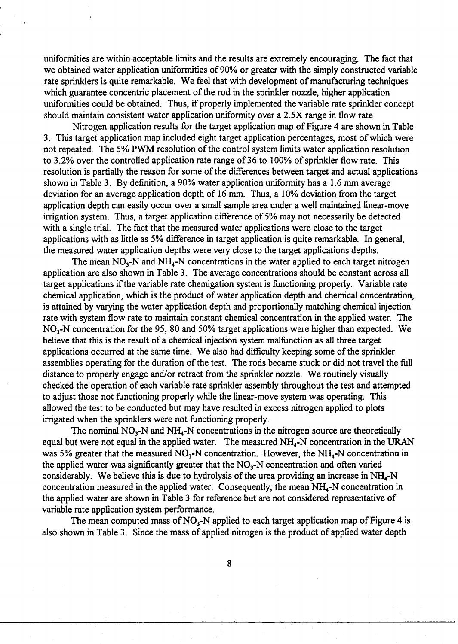uniformities are within acceptable limits and the results are extremely encouraging. The fact that we obtained water application uniformities of 90% or greater with the simply constructed variable rate sprinklers is quite remarkable. We feel that with development of manufacturing techniques which guarantee concentric placement of the rod in the sprinkler nozzle, higher application uniformities could be obtained. Thus, if properly implemented the variable rate sprinkler concept should maintain consistent water application uniformity over a 2.5X range in flow rate.

Nitrogen application results for the target application map of Figure 4 are shown in Table 3. This target application map included eight target application percentages, most of which were not repeated. The 5% PWM resolution of the control system limits water application resolution to 3.2% over the controlled application rate range of 36 to 100% of sprinkler flow rate. This resolution is partially the reason for some of the differences between target and actual applications shown in Table 3. By definition, a 90% water application uniformity has a 1.6 mm average deviation for an average application depth of 16 mm. Thus, a 10% deviation from the target application depth can easily occur over a small sample area under a well maintained linear-move irrigation system. Thus, a target application difference of 5% may not necessarily be detected with a single trial. The fact that the measured water applications were close to the target applications with as little as 5% difference in target application is quite remarkable. In general, the measured water application depths were very close to the target applications depths.

The mean  $NO<sub>3</sub>-N$  and  $NH<sub>4</sub>-N$  concentrations in the water applied to each target nitrogen application are also shown in Table 3. The average concentrations should be constant across all target applications if the variable rate chemigation system is functioning properly. Variable rate chemical application, which is the product of water application depth and chemical concentration, is attained by varying the water application depth and proportionally matching chemical injection rate with system flow rate to maintain constant chemical concentration in the applied water. The  $NO<sub>3</sub>-N$  concentration for the 95, 80 and 50% target applications were higher than expected. We believe that this is the result of a chemical injection system malfunction *as* all three target applications occurred at the same time. We also had difficulty keeping some of the sprinkler assemblies operating for the duration of the test. The rods became stuck or did not travel the full distance to properly engage and/or retract from the sprinkler nozzle. We routinely visually checked the operation of each variable rate sprinkler assembly throughout the test and attempted to adjust those not functioning properly while the linear-move system was operating. This allowed the test to be conducted but may have resulted in excess nitrogen applied to plots irrigated when the sprinklers were not functioning properly.

The nominal  $NO<sub>3</sub>-N$  and  $NH<sub>4</sub>-N$  concentrations in the nitrogen source are theoretically equal but were not equal in the applied water. The measured NH<sub>4</sub>-N concentration in the URAN was 5% greater that the measured  $NO_3$ -N concentration. However, the NH<sub>4</sub>-N concentration in the applied water was significantly greater that the  $NO<sub>3</sub>-N$  concentration and often varied considerably. We believe this is due to hydrolysis of the urea providing an increase in NH<sub>4</sub>-N concentration measured in the applied water. Consequently, the mean  $NH<sub>4</sub>-N$  concentration in the applied water are shown in Table 3 for reference but are not considered representative of variable rate application system performance.

The mean computed mass of  $NO_3-N$  applied to each target application map of Figure 4 is also shown in Table 3. Since the mass of applied nitrogen is the product of applied water depth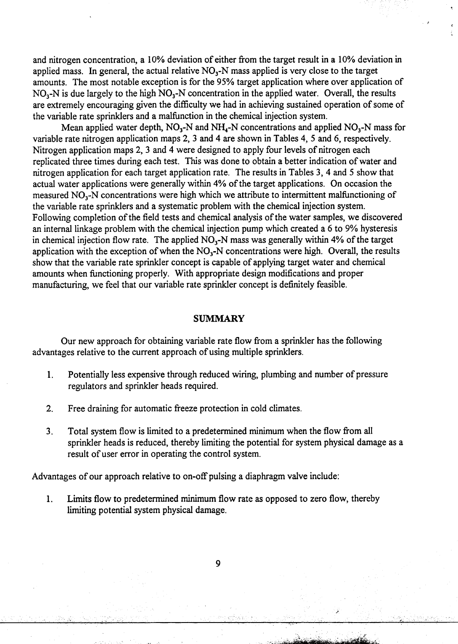and nitrogen concentration, a 10% deviation of either from the target result in a 10% deviation in applied mass. In general, the actual relative  $NO<sub>3</sub>-N$  mass applied is very close to the target amounts. The most notable exception is for the 95% target application where over application of  $NO<sub>3</sub>-N$  is due largely to the high  $NO<sub>3</sub>-N$  concentration in the applied water. Overall, the results are extremely encouraging given the difficulty we had in achieving sustained operation of some of the variable rate sprinklers and a malfunction in the chemical injection system.

Mean applied water depth,  $NO_3-N$  and  $NH_4-N$  concentrations and applied  $NO_3-N$  mass for variable rate nitrogen application maps 2, 3 and 4 are shown in Tables 4, 5 and 6, respectively. Nitrogen application maps 2, 3 and 4 were designed to apply four levels of nitrogen each replicated three times during each test. This was done to obtain a better indication of water and nitrogen application for each target application rate. The results in Tables 3, 4 and 5 show that actual water applications were generally within 4% of the target applications. On occasion the measured  $NO<sub>3</sub>$ -N concentrations were high which we attribute to intermittent malfunctioning of the variable rate sprinklers and a systematic problem with the chemical injection system. Following completion of the field tests and chemical analysis of the water samples, we discovered an internal linkage problem with the chemical injection pump which created a 6 to 9% hysteresis in chemical injection flow rate. The applied  $NO<sub>3</sub>-N$  mass was generally within 4% of the target application with the exception of when the  $NO<sub>3</sub>-N$  concentrations were high. Overall, the results show that the variable rate sprinkler concept is capable of applying target water and chemical amounts when functioning properly. With appropriate design modifications and proper manufacturing, we feel that our variable rate sprinkler concept is definitely feasible.

#### **SUMMARY**

Our new approach for obtaining variable rate flow from a sprinkler has the following advantages relative to the current approach of using multiple sprinklers.

- 1. Potentially less expensive through reduced wiring, plumbing and number of pressure regulators and sprinkler heads required.
- 2. Free draining for automatic freeze protection in cold climates.
- 3. Total system flow is limited to a predetermined minimum when the flow from all sprinkler heads is reduced, thereby limiting the potential for system physical damage as a result of user error in operating the control system.

Advantages of our approach relative to on-off pulsing a diaphragm valve include:

1. Limits flow to predetermined minimum flow rate *as* opposed to zero flow, thereby limiting potential system physical damage.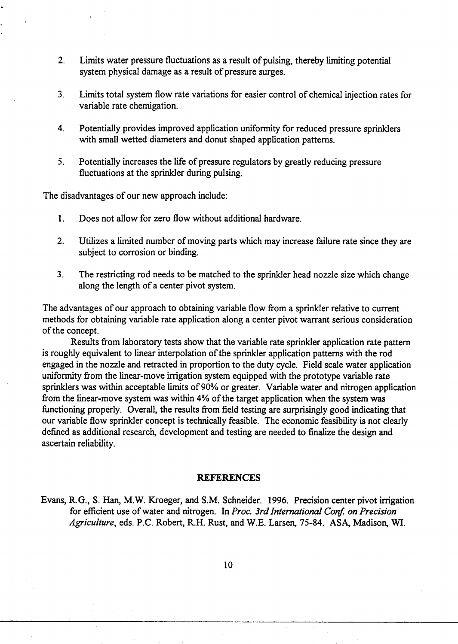- 2. Limits water pressure fluctuations as a result of pulsing, thereby limiting potential system physical damage as a result of pressure surges.
- 3. Limits total system flow rate variations for easier control of chemical injection rates for variable rate chemigation.
- 4. Potentially provides improved application uniformity for reduced pressure sprinklers with small wetted diameters and donut shaped application patterns.
- 5. Potentially increases the life of pressure regulators by greatly reducing pressure fluctuations at the sprinkler during pulsing.

The disadvantages of our new approach include:

- 1. Does not allow for zero flow without additional hardware.
- 2. Utilizes a limited number of moving parts which may increase failure rate since they are subject to corrosion or binding.
- 3. The restricting rod needs to be matched to the sprinkler head nozzle size which change along the length of a center pivot system.

The advantages of our approach to obtaining variable flow from a sprinkler relative to current methods for obtaining variable rate application along a center pivot warrant serious consideration of the concept.

Results from laboratory tests show that the variable rate sprinkler application rate pattern is roughly equivalent to linear interpolation of the sprinkler application patterns with the rod engaged in the nozzle and retracted in proportion to the duty cycle. Field scale water application uniformity from the linear-move irrigation system equipped with the prototype variable rate sprinklers was within acceptable limits of 90% or greater. Variable water and nitrogen application from the linear-move system was within 4% of the target application when the system was functioning properly. Overall, the results from field testing are surprisingly good indicating that our variable flow sprinkler concept is technically feasible. The economic feasibility is not clearly defined as additional research, development and testing are needed to finalize the design and ascertain reliability.

#### **REFERENCES**

Evans, R.G., S. Han, M.W. Kroeger, and S.M. Schneider. 1996. Precision center pivot irrigation for efficient use of water and nitrogen. In *Proc. 3rd International Conf. on Precision Agriculture,* eds. P.C. Robert, R.H. Rust, and W.E. Larsen, 75-84. ASA, Madison, WI.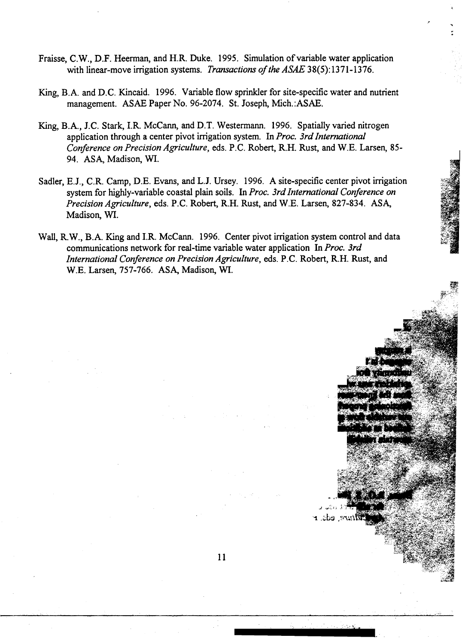- Fraisse, C.W., D.F. Heerman, and H.R. Duke. 1995. Simulation of variable water application with linear-move irrigation systems. *Transactions of the ASAE* 38(5):1371-1376.
- King, B.A. and D.C. Kincaid. 1996. Variable flow sprinkler for site-specific water and nutrient management. ASAE Paper No. 96-2074. St. Joseph, Mich.:ASAE.
- King, B.A., J.C. Stark, I.R. McCann, and D.T. Westermann. 1996. Spatially varied nitrogen application through a center pivot irrigation system. In *Proc. 3rd International Conference on Precision Agriculture,* eds. P.C. Robert, R.H. Rust, and W.E. Larsen, 85- 94. ASA, Madison, WI.
- Sadler, E.J., C.R. Camp, D.E. Evans, and L.J. Ursey. 1996. A site-specific center pivot irrigation system for highly-variable coastal plain soils. In *Proc. 3rd International Conference on Precision Agriculture,* eds. P.C. Robert, R.H. Rust, and W.E. Larsen, 827-834. ASA, Madison, WI.
- Wall, R.W., B.A. King and I.R. McCann. 1996. Center pivot irrigation system control and data communications network for real-time variable water application In *Proc. 3rd International Conference on Precision Agriculture,* eds. P.C. Robert, R.H. Rust, and W.E. Larsen, 757-766. ASA, Madison, WI.

ire, eds. r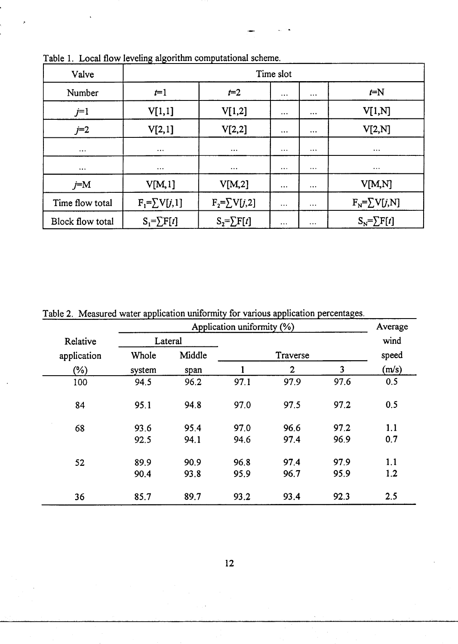| Valve                   | Time slot           |                     |          |          |                     |  |  |
|-------------------------|---------------------|---------------------|----------|----------|---------------------|--|--|
| Number                  | $t=1$               | $t=2$               | $\cdots$ | $\cdots$ | $t=N$               |  |  |
| $j=1$                   | V[1,1]              | V[1,2]              | $\cdots$ | $\cdots$ | V[1,N]              |  |  |
| $j=2$                   | V[2,1]              | V[2,2]              | $\cdots$ | $\cdots$ | V[2,N]              |  |  |
| $\cdots$                | $\cdots$            | $\cdots$            | $\cdots$ | $\cdots$ | $\cdots$            |  |  |
| $\cdots$                | $\cdots$            | $\cdots$            | $\cdots$ | $\cdots$ | $\cdots$            |  |  |
| $j=M$                   | V[M,1]              | V[M,2]              | $\cdots$ | $\cdots$ | V[M,N]              |  |  |
| Time flow total         | $F_1 = \sum V[j,1]$ | $F_2 = \sum V[j,2]$ | $\cdots$ | $\cdots$ | $F_N = \sum V[j,N]$ |  |  |
| <b>Block flow total</b> | $S_1 = \sum F[t]$   | $S_2 = \sum F[t]$   | $\cdots$ | $\cdots$ | $S_N = \sum F[t]$   |  |  |

Table 1. Local flow leveling algorithm computational scheme.

|             |                 | Average |          |                |      |       |
|-------------|-----------------|---------|----------|----------------|------|-------|
| Relative    | Lateral         |         |          |                |      | wind  |
| application | Middle<br>Whole |         | Traverse |                |      | speed |
| $(\%)$      | system          | span    |          | $\overline{2}$ | 3    | (m/s) |
| 100         | 94.5            | 96.2    | 97.1     | 97.9           | 97.6 | 0.5   |
| 84          | 95.1            | 94.8    | 97.0     | 97.5           | 97.2 | 0.5   |
| 68          | 93.6            | 95.4    | 97.0     | 96.6           | 97.2 | 1.1   |
|             | 92.5            | 94.1    | 94.6     | 97.4           | 96.9 | 0.7   |
| 52          | 89.9            | 90.9    | 96.8     | 97.4           | 97.9 | 1.1   |
|             | 90.4            | 93.8    | 95.9     | 96.7           | 95.9 | 1.2   |
| 36          | 85.7            | 89.7    | 93.2     | 93.4           | 92.3 | 2.5   |

Table 2. Measured water application uniformity for various application percentages.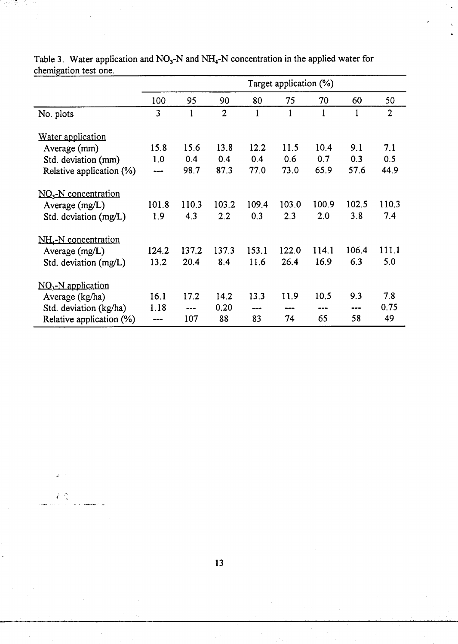| ב--                      | Target application (%) |       |                |       |       |       |       |                |
|--------------------------|------------------------|-------|----------------|-------|-------|-------|-------|----------------|
|                          | 100                    | 95    | 90             | 80    | 75    | 70    | 60    | 50             |
| No. plots                | 3                      | 1     | $\overline{2}$ | 1     | 1     | 1     | 1     | $\overline{2}$ |
| Water application        |                        |       |                |       |       |       |       |                |
| Average (mm)             | 15.8                   | 15.6  | 13.8           | 12.2  | 11.5  | 10.4  | 9.1   | 7.1            |
| Std. deviation (mm)      | 1.0                    | 0.4   | 0.4            | 0.4   | 0.6   | 0.7   | 0.3   | 0.5            |
| Relative application (%) |                        | 98.7  | 87.3           | 77.0  | 73.0  | 65.9  | 57.6  | 44.9           |
| $NO3-N$ concentration    |                        |       |                |       |       |       |       |                |
| Average $(mg/L)$         | 101.8                  | 110.3 | 103.2          | 109.4 | 103.0 | 100.9 | 102.5 | 110.3          |
| Std. deviation (mg/L)    | 1.9                    | 4.3   | 2.2            | 0.3   | 2.3   | 2.0   | 3.8   | 7.4            |
| $NH4-N concentration$    |                        |       |                |       |       |       |       |                |
| Average $(mg/L)$         | 124.2                  | 137.2 | 137.3          | 153.1 | 122.0 | 114.1 | 106.4 | 111.1          |
| Std. deviation (mg/L)    | 13.2                   | 20.4  | 8.4            | 11.6  | 26.4  | 16.9  | 6.3   | 5.0            |
| $NO3-N$ application      |                        |       |                |       |       |       |       |                |
| Average (kg/ha)          | 16.1                   | 17.2  | 14.2           | 13.3  | 11.9  | 10.5  | 9.3   | 7.8            |
| Std. deviation (kg/ha)   | 1.18                   | ---   | 0.20           | ---   | ---   | ---   | ---   | 0.75           |
| Relative application (%) |                        | 107   | 88             | 83    | 74    | 65    | 58    | 49             |

Table 3. Water application and NO<sub>3</sub>-N and NH<sub>4</sub>-N concentration in the applied water for chemigation test one.

13

 $\Delta \phi$ 

 $\mathcal{E} \subset \mathcal{E}^{\mathbf{c}}_{\mathbf{a}}$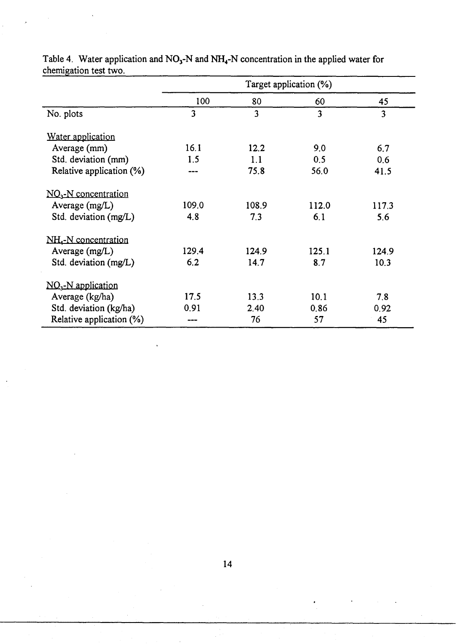|                                  | Target application (%) |       |       |       |  |  |
|----------------------------------|------------------------|-------|-------|-------|--|--|
|                                  | 100                    | 80    | 60    | 45    |  |  |
| No. plots                        | 3                      | 3     | 3     | 3     |  |  |
| Water application                |                        |       |       |       |  |  |
| Average (mm)                     | 16.1                   | 12.2  | 9.0   | 6.7   |  |  |
| Std. deviation (mm)              | 1.5                    | 1.1   | 0.5   | 0.6   |  |  |
| Relative application (%)         |                        | 75.8  | 56.0  | 41.5  |  |  |
| $NO3$ -N concentration           |                        |       |       |       |  |  |
| Average $(mg/L)$                 | 109.0                  | 108.9 | 112.0 | 117.3 |  |  |
| Std. deviation (mg/L)            | 4.8                    | 7.3   | 6.1   | 5.6   |  |  |
| NH <sub>4</sub> -N concentration |                        |       |       |       |  |  |
| Average (mg/L)                   | 129.4                  | 124.9 | 125.1 | 124.9 |  |  |
| Std. deviation (mg/L)            | 6.2                    | 14.7  | 8.7   | 10.3  |  |  |
| $NO3$ -N application             |                        |       |       |       |  |  |
| Average (kg/ha)                  | 17.5                   | 13.3  | 10.1  | 7.8   |  |  |
| Std. deviation (kg/ha)           | 0.91                   | 2.40  | 0.86  | 0.92  |  |  |
| Relative application (%)         |                        | 76    | 57    | 45    |  |  |

Table 4. Water application and NO<sub>3</sub>-N and NH<sub>4</sub>-N concentration in the applied water for chemigation test two.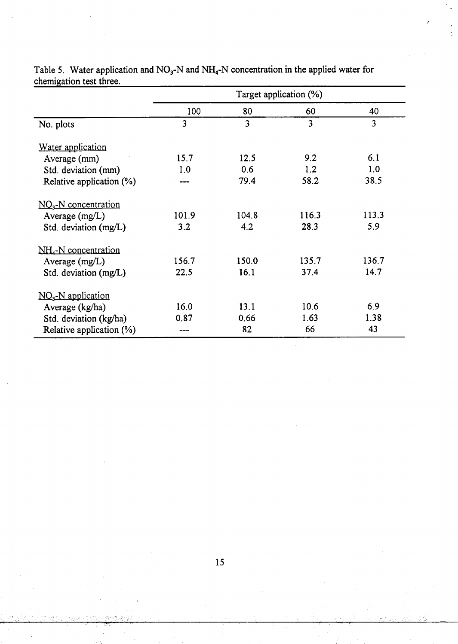|                                  | Target application (%) |                |                         |       |  |  |
|----------------------------------|------------------------|----------------|-------------------------|-------|--|--|
|                                  | 100                    | 80             | 60                      | 40    |  |  |
| No. plots                        | 3                      | $\overline{3}$ | $\overline{\mathbf{3}}$ | 3     |  |  |
| Water application                |                        |                |                         |       |  |  |
| Average (mm)                     | 15.7                   | 12.5           | 9.2                     | 6.1   |  |  |
| Std. deviation (mm)              | 1.0                    | 0.6            | 1.2                     | 1.0   |  |  |
| Relative application (%)         | ---                    | 79.4           | 58.2                    | 38.5  |  |  |
| $NO3$ -N concentration           |                        |                |                         |       |  |  |
| Average $(mg/L)$                 | 101.9                  | 104.8          | 116.3                   | 113.3 |  |  |
| Std. deviation (mg/L)            | 3.2                    | 4.2            | 28.3                    | 5.9   |  |  |
| NH <sub>4</sub> -N concentration |                        |                |                         |       |  |  |
| Average $(mg/L)$                 | 156.7                  | 150.0          | 135.7                   | 136.7 |  |  |
| Std. deviation (mg/L)            | 22.5                   | 16.1           | 37.4                    | 14.7  |  |  |
| $NO3-N$ application              |                        |                |                         |       |  |  |
| Average (kg/ha)                  | 16.0                   | 13.1           | 10.6                    | 6.9   |  |  |
| Std. deviation (kg/ha)           | 0.87                   | 0.66           | 1.63                    | 1.38  |  |  |
| Relative application (%)         |                        | 82             | 66                      | 43    |  |  |

 $\overline{\phantom{a}}$ 

Table 5. Water application and **NO**3-N and NH**4-N** concentration in the applied water for Table 5. Water application and  $NO_3$ -N and  $NH_4$ -N concentration in the applied water for chemigation test three.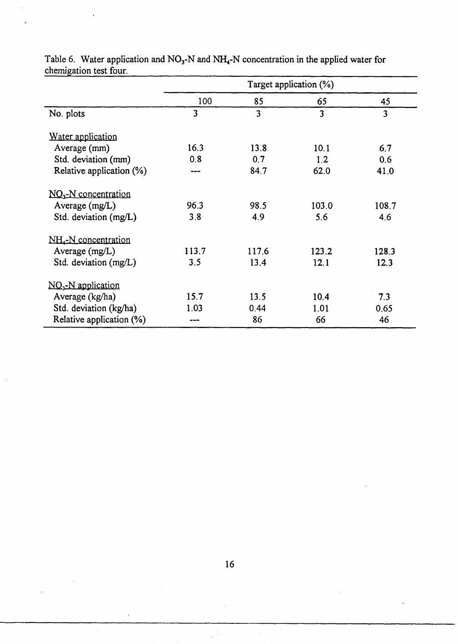|                                  | Target application $(\%)$ |       |                         |       |  |  |
|----------------------------------|---------------------------|-------|-------------------------|-------|--|--|
|                                  | 100                       | 85    | 65                      | 45    |  |  |
| No. plots                        | $\overline{\mathbf{3}}$   | 3     | $\overline{\mathbf{3}}$ | 3     |  |  |
| Water application                |                           |       |                         |       |  |  |
| Average (mm)                     | 16.3                      | 13.8  | 10.1                    | 6.7   |  |  |
| Std. deviation (mm)              | 0.8                       | 0.7   | 1.2                     | 0.6   |  |  |
| Relative application (%)         |                           | 84.7  | 62.0                    | 41.0  |  |  |
| $NO3-N concentration$            |                           |       |                         |       |  |  |
| Average $(mg/L)$                 | 96.3                      | 98.5  | 103.0                   | 108.7 |  |  |
| Std. deviation (mg/L)            | 3.8                       | 4.9   | 5.6                     | 4.6   |  |  |
| NH <sub>4</sub> -N concentration |                           |       |                         |       |  |  |
| Average (mg/L)                   | 113.7                     | 117.6 | 123.2                   | 128.3 |  |  |
| Std. deviation (mg/L)            | 3.5                       | 13.4  | 12.1                    | 12.3  |  |  |
| $NO3$ -N application             |                           |       |                         |       |  |  |
| Average (kg/ha)                  | 15.7                      | 13.5  | 10.4                    | 7.3   |  |  |
| Std. deviation (kg/ha)           | 1.03                      | 0.44  | 1.01                    | 0.65  |  |  |
| Relative application (%)         |                           | 86    | 66                      | 46    |  |  |

Table 6. Water application and NO<sub>3</sub>-N and NH<sub>4</sub>-N concentration in the applied water for chemigation test four.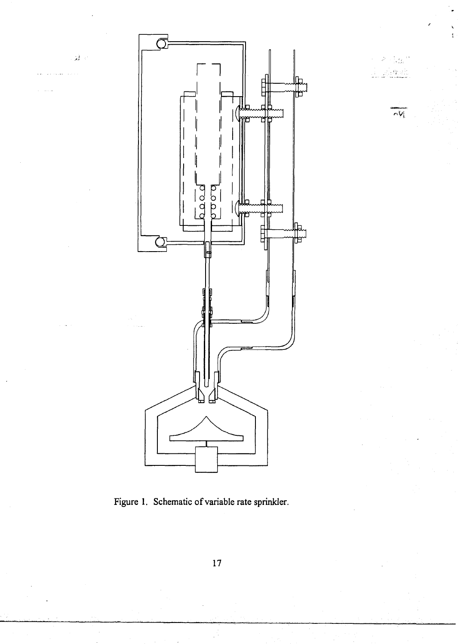

€Ĥ,

 $\sim$   $\sqrt{2}$ 

瀑

Figure 1. Schematic of variable rate sprinkler.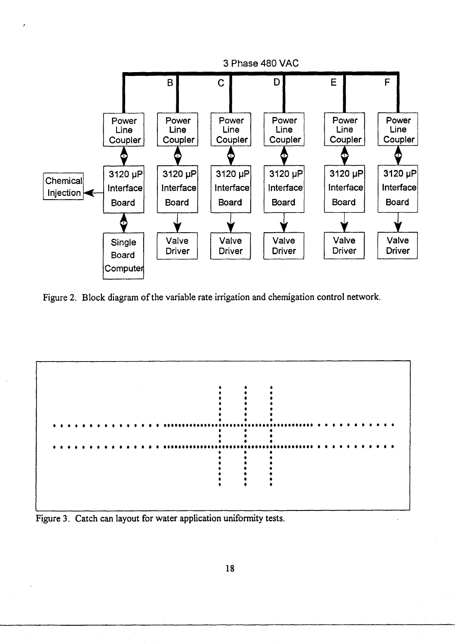

Figure 2. Block diagram of the variable rate irrigation and chemigation control network.



Figure 3. Catch can layout for water application uniformity tests.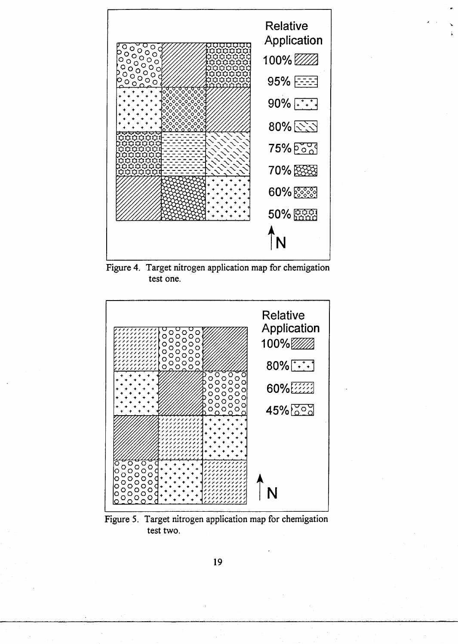

Figure 4. Target nitrogen application map for chemigation test one.



Figure 5. Target nitrogen application map for chemigation test two.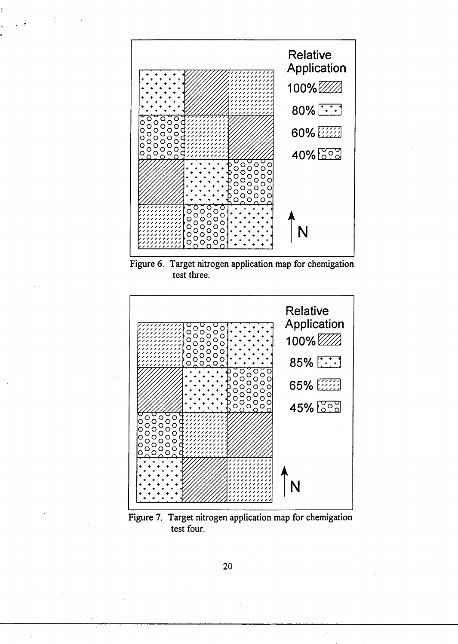

Figure 6. Target nitrogen application map for chemigation test three.



Figure 7. Target nitrogen application map for chemigation test four.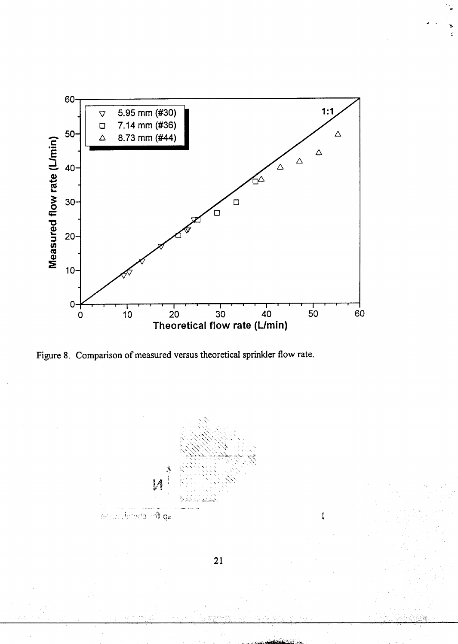

Figure 8. Comparison of measured versus theoretical sprinkler flow rate.



 $\mathbf{f}$